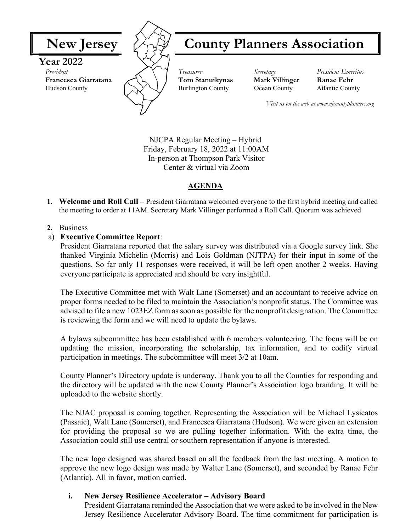

NJCPA Regular Meeting – Hybrid Friday, February 18, 2022 at 11:00AM In-person at Thompson Park Visitor Center & virtual via Zoom

## **AGENDA**

- **1. Welcome and Roll Call** President Giarratana welcomed everyone to the first hybrid meeting and called the meeting to order at 11AM. Secretary Mark Villinger performed a Roll Call. Quorum was achieved
- **2.** Business

## a) **Executive Committee Report**:

President Giarratana reported that the salary survey was distributed via a Google survey link. She thanked Virginia Michelin (Morris) and Lois Goldman (NJTPA) for their input in some of the questions. So far only 11 responses were received, it will be left open another 2 weeks. Having everyone participate is appreciated and should be very insightful.

The Executive Committee met with Walt Lane (Somerset) and an accountant to receive advice on proper forms needed to be filed to maintain the Association's nonprofit status. The Committee was advised to file a new 1023EZ form as soon as possible for the nonprofit designation. The Committee is reviewing the form and we will need to update the bylaws.

A bylaws subcommittee has been established with 6 members volunteering. The focus will be on updating the mission, incorporating the scholarship, tax information, and to codify virtual participation in meetings. The subcommittee will meet 3/2 at 10am.

County Planner's Directory update is underway. Thank you to all the Counties for responding and the directory will be updated with the new County Planner's Association logo branding. It will be uploaded to the website shortly.

The NJAC proposal is coming together. Representing the Association will be Michael Lysicatos (Passaic), Walt Lane (Somerset), and Francesca Giarratana (Hudson). We were given an extension for providing the proposal so we are pulling together information. With the extra time, the Association could still use central or southern representation if anyone is interested.

The new logo designed was shared based on all the feedback from the last meeting. A motion to approve the new logo design was made by Walter Lane (Somerset), and seconded by Ranae Fehr (Atlantic). All in favor, motion carried.

### **i. New Jersey Resilience Accelerator – Advisory Board**

President Giarratana reminded the Association that we were asked to be involved in the New Jersey Resilience Accelerator Advisory Board. The time commitment for participation is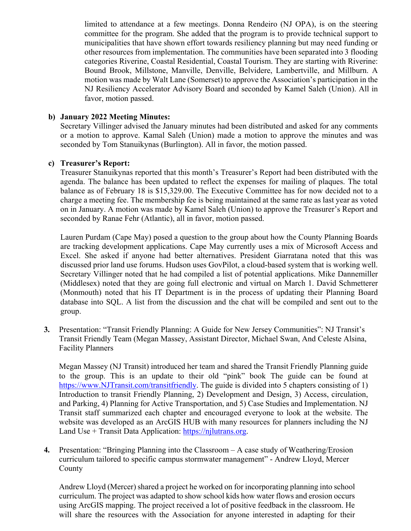limited to attendance at a few meetings. Donna Rendeiro (NJ OPA), is on the steering committee for the program. She added that the program is to provide technical support to municipalities that have shown effort towards resiliency planning but may need funding or other resources from implementation. The communities have been separated into 3 flooding categories Riverine, Coastal Residential, Coastal Tourism. They are starting with Riverine: Bound Brook, Millstone, Manville, Denville, Belvidere, Lambertville, and Millburn. A motion was made by Walt Lane (Somerset) to approve the Association's participation in the NJ Resiliency Accelerator Advisory Board and seconded by Kamel Saleh (Union). All in favor, motion passed.

#### **b) January 2022 Meeting Minutes:**

Secretary Villinger advised the January minutes had been distributed and asked for any comments or a motion to approve. Kamal Saleh (Union) made a motion to approve the minutes and was seconded by Tom Stanuikynas (Burlington). All in favor, the motion passed.

#### **c) Treasurer's Report:**

Treasurer Stanuikynas reported that this month's Treasurer's Report had been distributed with the agenda. The balance has been updated to reflect the expenses for mailing of plaques. The total balance as of February 18 is \$15,329.00. The Executive Committee has for now decided not to a charge a meeting fee. The membership fee is being maintained at the same rate as last year as voted on in January. A motion was made by Kamel Saleh (Union) to approve the Treasurer's Report and seconded by Ranae Fehr (Atlantic), all in favor, motion passed.

Lauren Purdam (Cape May) posed a question to the group about how the County Planning Boards are tracking development applications. Cape May currently uses a mix of Microsoft Access and Excel. She asked if anyone had better alternatives. President Giarratana noted that this was discussed prior land use forums. Hudson uses GovPilot, a cloud-based system that is working well. Secretary Villinger noted that he had compiled a list of potential applications. Mike Dannemiller (Middlesex) noted that they are going full electronic and virtual on March 1. David Schmetterer (Monmouth) noted that his IT Department is in the process of updating their Planning Board database into SQL. A list from the discussion and the chat will be compiled and sent out to the group.

**3.** Presentation: "Transit Friendly Planning: A Guide for New Jersey Communities": NJ Transit's Transit Friendly Team (Megan Massey, Assistant Director, Michael Swan, And Celeste Alsina, Facility Planners

Megan Massey (NJ Transit) introduced her team and shared the Transit Friendly Planning guide to the group. This is an update to their old "pink" book The guide can be found at https://www.NJTransit.com/transitfriendly. The guide is divided into 5 chapters consisting of 1) Introduction to transit Friendly Planning, 2) Development and Design, 3) Access, circulation, and Parking, 4) Planning for Active Transportation, and 5) Case Studies and Implementation. NJ Transit staff summarized each chapter and encouraged everyone to look at the website. The website was developed as an ArcGIS HUB with many resources for planners including the NJ Land Use + Transit Data Application:  $\frac{https://njlutrans.org.}{https://njlutrans.org.}$ 

**4.** Presentation: "Bringing Planning into the Classroom – A case study of Weathering/Erosion curriculum tailored to specific campus stormwater management" - Andrew Lloyd, Mercer County

Andrew Lloyd (Mercer) shared a project he worked on for incorporating planning into school curriculum. The project was adapted to show school kids how water flows and erosion occurs using ArcGIS mapping. The project received a lot of positive feedback in the classroom. He will share the resources with the Association for anyone interested in adapting for their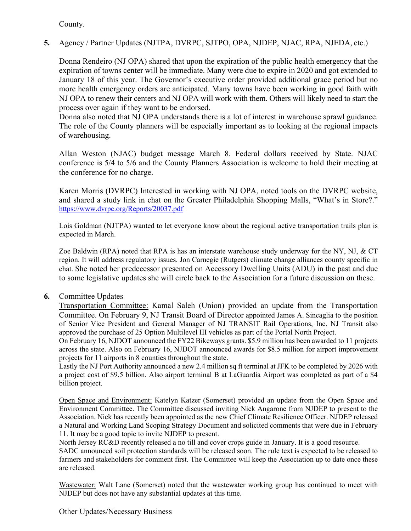County.

**5.** Agency / Partner Updates (NJTPA, DVRPC, SJTPO, OPA, NJDEP, NJAC, RPA, NJEDA, etc.)

Donna Rendeiro (NJ OPA) shared that upon the expiration of the public health emergency that the expiration of towns center will be immediate. Many were due to expire in 2020 and got extended to January 18 of this year. The Governor's executive order provided additional grace period but no more health emergency orders are anticipated. Many towns have been working in good faith with NJ OPA to renew their centers and NJ OPA will work with them. Others will likely need to start the process over again if they want to be endorsed.

Donna also noted that NJ OPA understands there is a lot of interest in warehouse sprawl guidance. The role of the County planners will be especially important as to looking at the regional impacts of warehousing.

Allan Weston (NJAC) budget message March 8. Federal dollars received by State. NJAC conference is 5/4 to 5/6 and the County Planners Association is welcome to hold their meeting at the conference for no charge.

Karen Morris (DVRPC) Interested in working with NJ OPA, noted tools on the DVRPC website, and shared a study link in chat on the Greater Philadelphia Shopping Malls, "What's in Store?." https://www.dvrpc.org/Reports/20037.pdf

Lois Goldman (NJTPA) wanted to let everyone know about the regional active transportation trails plan is expected in March.

Zoe Baldwin (RPA) noted that RPA is has an interstate warehouse study underway for the NY, NJ, & CT region. It will address regulatory issues. Jon Carnegie (Rutgers) climate change alliances county specific in chat. She noted her predecessor presented on Accessory Dwelling Units (ADU) in the past and due to some legislative updates she will circle back to the Association for a future discussion on these.

**6.** Committee Updates

Transportation Committee: Kamal Saleh (Union) provided an update from the Transportation Committee. On February 9, NJ Transit Board of Director appointed James A. Sincaglia to the position of Senior Vice President and General Manager of NJ TRANSIT Rail Operations, Inc. NJ Transit also approved the purchase of 25 Option Multilevel III vehicles as part of the Portal North Project.

On February 16, NJDOT announced the FY22 Bikeways grants. \$5.9 million has been awarded to 11 projects across the state. Also on February 16, NJDOT announced awards for \$8.5 million for airport improvement projects for 11 airports in 8 counties throughout the state.

Lastly the NJ Port Authority announced a new 2.4 million sq ft terminal at JFK to be completed by 2026 with a project cost of \$9.5 billion. Also airport terminal B at LaGuardia Airport was completed as part of a \$4 billion project.

Open Space and Environment: Katelyn Katzer (Somerset) provided an update from the Open Space and Environment Committee. The Committee discussed inviting Nick Angarone from NJDEP to present to the Association. Nick has recently been appointed as the new Chief Climate Resilience Officer. NJDEP released a Natural and Working Land Scoping Strategy Document and solicited comments that were due in February 11. It may be a good topic to invite NJDEP to present.

North Jersey RC&D recently released a no till and cover crops guide in January. It is a good resource.

SADC announced soil protection standards will be released soon. The rule text is expected to be released to farmers and stakeholders for comment first. The Committee will keep the Association up to date once these are released.

Wastewater: Walt Lane (Somerset) noted that the wastewater working group has continued to meet with NJDEP but does not have any substantial updates at this time.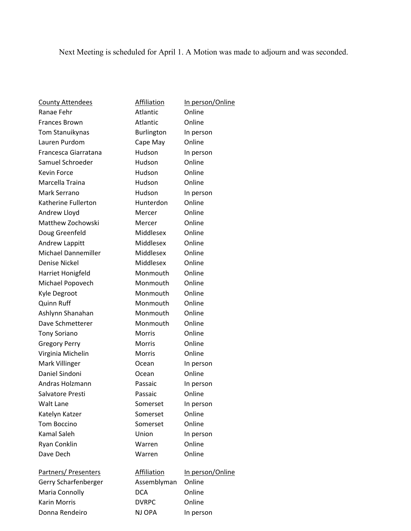# Next Meeting is scheduled for April 1. A Motion was made to adjourn and was seconded.

| <b>County Attendees</b>     | <b>Affiliation</b> | In person/Online |  |
|-----------------------------|--------------------|------------------|--|
| Ranae Fehr                  | Atlantic           | Online           |  |
| <b>Frances Brown</b>        | Atlantic           | Online           |  |
| <b>Tom Stanuikynas</b>      | Burlington         | In person        |  |
| Lauren Purdom               | Cape May           | Online           |  |
| Francesca Giarratana        | Hudson             | In person        |  |
| Samuel Schroeder            | Hudson             | Online           |  |
| Kevin Force                 | Hudson             | Online           |  |
| Marcella Traina             | Hudson             | Online           |  |
| Mark Serrano                | Hudson             | In person        |  |
| Katherine Fullerton         | Hunterdon          | Online           |  |
| Andrew Lloyd                | Mercer             | Online           |  |
| Matthew Zochowski           | Mercer             | Online           |  |
| Doug Greenfeld              | Middlesex          | Online           |  |
| Andrew Lappitt              | Middlesex          | Online           |  |
| <b>Michael Dannemiller</b>  | Middlesex          | Online           |  |
| Denise Nickel               | Middlesex          | Online           |  |
| Harriet Honigfeld           | Monmouth           | Online           |  |
| Michael Popovech            | Monmouth           | Online           |  |
| Kyle Degroot                | Monmouth           | Online           |  |
| Quinn Ruff                  | Monmouth           | Online           |  |
| Ashlynn Shanahan            | Monmouth           | Online           |  |
| Dave Schmetterer            | Monmouth           | Online           |  |
| <b>Tony Soriano</b>         | Morris             | Online           |  |
| <b>Gregory Perry</b>        | <b>Morris</b>      | Online           |  |
| Virginia Michelin           | <b>Morris</b>      | Online           |  |
| Mark Villinger              | Ocean              | In person        |  |
| Daniel Sindoni              | Ocean              | Online           |  |
| Andras Holzmann             | Passaic            | In person        |  |
| Salvatore Presti            | Passaic            | Online           |  |
| <b>Walt Lane</b>            | Somerset           | In person        |  |
| Katelyn Katzer              | Somerset           | Online           |  |
| <b>Tom Boccino</b>          | Somerset           | Online           |  |
| <b>Kamal Saleh</b>          | Union              | In person        |  |
| Ryan Conklin                | Warren             | Online           |  |
| Dave Dech                   | Warren             | Online           |  |
| <b>Partners/ Presenters</b> | <b>Affiliation</b> | In person/Online |  |
| Gerry Scharfenberger        | Assemblyman        | Online           |  |
| Maria Connolly              | <b>DCA</b>         | Online           |  |
| <b>Karin Morris</b>         | <b>DVRPC</b>       | Online           |  |
| Donna Rendeiro              | NJ OPA             | In person        |  |